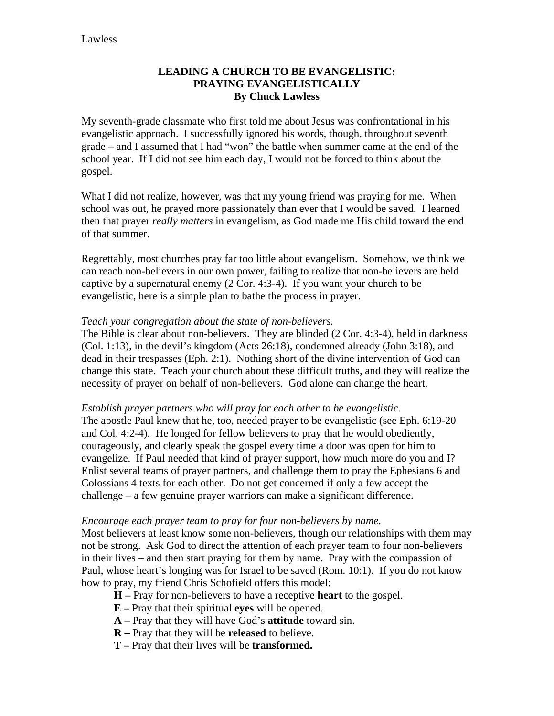# **LEADING A CHURCH TO BE EVANGELISTIC: PRAYING EVANGELISTICALLY By Chuck Lawless**

My seventh-grade classmate who first told me about Jesus was confrontational in his evangelistic approach. I successfully ignored his words, though, throughout seventh grade – and I assumed that I had "won" the battle when summer came at the end of the school year. If I did not see him each day, I would not be forced to think about the gospel.

What I did not realize, however, was that my young friend was praying for me. When school was out, he prayed more passionately than ever that I would be saved. I learned then that prayer *really matters* in evangelism, as God made me His child toward the end of that summer.

Regrettably, most churches pray far too little about evangelism. Somehow, we think we can reach non-believers in our own power, failing to realize that non-believers are held captive by a supernatural enemy (2 Cor. 4:3-4). If you want your church to be evangelistic, here is a simple plan to bathe the process in prayer.

#### *Teach your congregation about the state of non-believers.*

The Bible is clear about non-believers. They are blinded (2 Cor. 4:3-4), held in darkness (Col. 1:13), in the devil's kingdom (Acts 26:18), condemned already (John 3:18), and dead in their trespasses (Eph. 2:1). Nothing short of the divine intervention of God can change this state. Teach your church about these difficult truths, and they will realize the necessity of prayer on behalf of non-believers. God alone can change the heart.

#### *Establish prayer partners who will pray for each other to be evangelistic.*

The apostle Paul knew that he, too, needed prayer to be evangelistic (see Eph. 6:19-20 and Col. 4:2-4). He longed for fellow believers to pray that he would obediently, courageously, and clearly speak the gospel every time a door was open for him to evangelize. If Paul needed that kind of prayer support, how much more do you and I? Enlist several teams of prayer partners, and challenge them to pray the Ephesians 6 and Colossians 4 texts for each other. Do not get concerned if only a few accept the challenge – a few genuine prayer warriors can make a significant difference.

#### *Encourage each prayer team to pray for four non-believers by name.*

Most believers at least know some non-believers, though our relationships with them may not be strong. Ask God to direct the attention of each prayer team to four non-believers in their lives – and then start praying for them by name. Pray with the compassion of Paul, whose heart's longing was for Israel to be saved (Rom. 10:1). If you do not know how to pray, my friend Chris Schofield offers this model:

**H –** Pray for non-believers to have a receptive **heart** to the gospel.

- **E** Pray that their spiritual **eyes** will be opened.
- **A –** Pray that they will have God's **attitude** toward sin.
- **R** Pray that they will be **released** to believe.
- **T** Pray that their lives will be **transformed.**